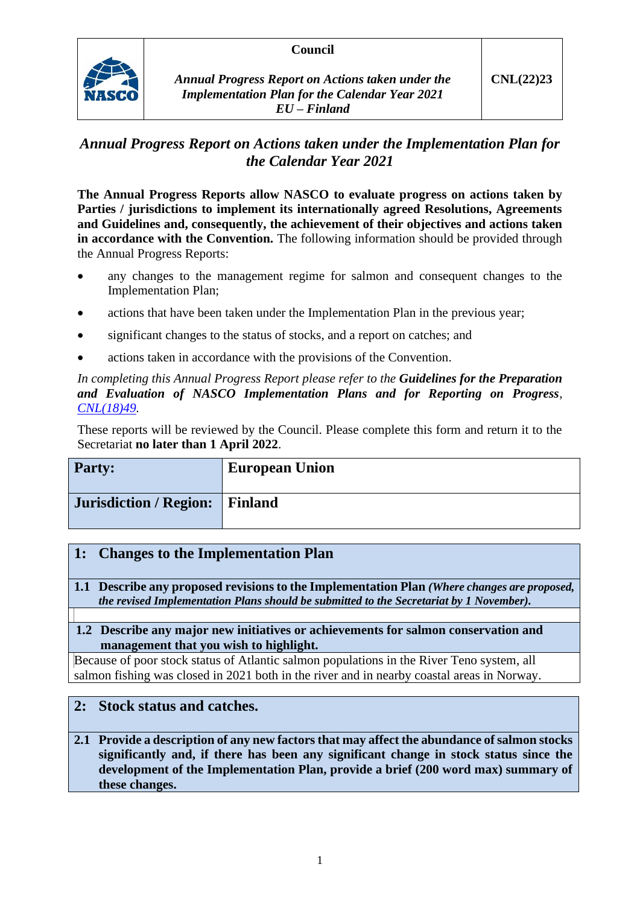#### **Council**



*Annual Progress Report on Actions taken under the Implementation Plan for the Calendar Year 2021 EU – Finland*

# *Annual Progress Report on Actions taken under the Implementation Plan for the Calendar Year 2021*

**The Annual Progress Reports allow NASCO to evaluate progress on actions taken by Parties / jurisdictions to implement its internationally agreed Resolutions, Agreements and Guidelines and, consequently, the achievement of their objectives and actions taken in accordance with the Convention.** The following information should be provided through the Annual Progress Reports:

- any changes to the management regime for salmon and consequent changes to the Implementation Plan;
- actions that have been taken under the Implementation Plan in the previous year;
- significant changes to the status of stocks, and a report on catches; and
- actions taken in accordance with the provisions of the Convention.

*In completing this Annual Progress Report please refer to the Guidelines for the Preparation and Evaluation of NASCO Implementation Plans and for Reporting on Progress, [CNL\(18\)49.](https://nasco.int/wp-content/uploads/2020/02/CNL1849_Guidelines-for-the-Preparation-and-Evaluation-of-NASCO-Implementation-Plans-and-for-Reporting-on-Progress.pdf)*

These reports will be reviewed by the Council. Please complete this form and return it to the Secretariat **no later than 1 April 2022**.

| <b>Party:</b>                  | <b>European Union</b> |
|--------------------------------|-----------------------|
| Jurisdiction / Region: Finland |                       |

# **1: Changes to the Implementation Plan**

**1.1 Describe any proposed revisions to the Implementation Plan** *(Where changes are proposed, the revised Implementation Plans should be submitted to the Secretariat by 1 November).*

#### **1.2 Describe any major new initiatives or achievements for salmon conservation and management that you wish to highlight.**

Because of poor stock status of Atlantic salmon populations in the River Teno system, all salmon fishing was closed in 2021 both in the river and in nearby coastal areas in Norway.

# **2: Stock status and catches.**

**2.1 Provide a description of any new factors that may affect the abundance of salmon stocks significantly and, if there has been any significant change in stock status since the development of the Implementation Plan, provide a brief (200 word max) summary of these changes.**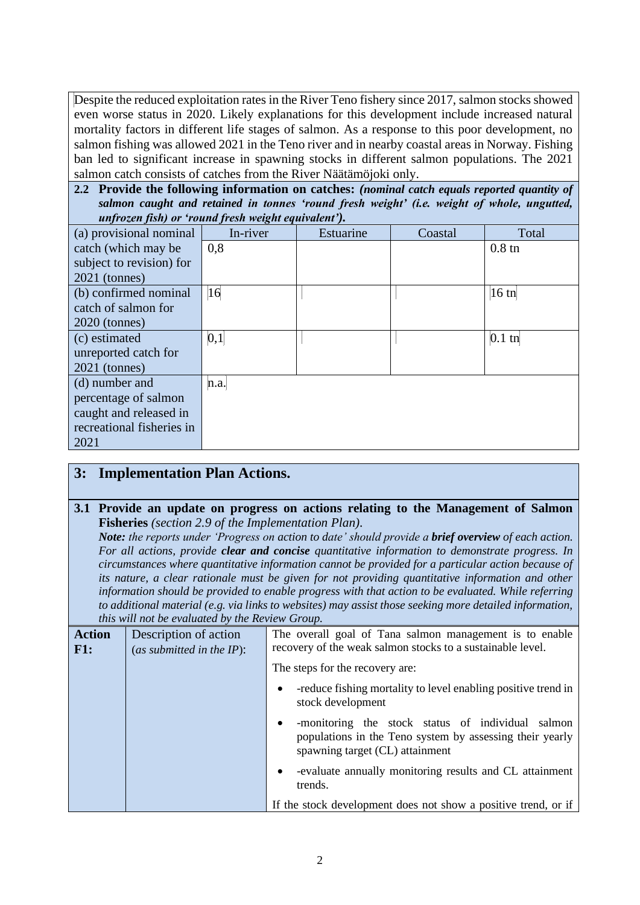Despite the reduced exploitation rates in the River Teno fishery since 2017, salmon stocks showed even worse status in 2020. Likely explanations for this development include increased natural mortality factors in different life stages of salmon. As a response to this poor development, no salmon fishing was allowed 2021 in the Teno river and in nearby coastal areas in Norway. Fishing ban led to significant increase in spawning stocks in different salmon populations. The 2021 salmon catch consists of catches from the River Näätämöjoki only.

**2.2 Provide the following information on catches:** *(nominal catch equals reported quantity of salmon caught and retained in tonnes 'round fresh weight' (i.e. weight of whole, ungutted, unfrozen fish) or 'round fresh weight equivalent').*

| <i>anji okon jishij</i> or roman ji eshi mengin equiranent ji<br>(a) provisional nominal | In-river | Estuarine | Coastal | Total            |
|------------------------------------------------------------------------------------------|----------|-----------|---------|------------------|
| catch (which may be                                                                      | 0,8      |           |         | $0.8 \text{ th}$ |
| subject to revision) for                                                                 |          |           |         |                  |
| $2021$ (tonnes)                                                                          |          |           |         |                  |
| (b) confirmed nominal                                                                    | 16       |           |         | $16 \text{ th}$  |
| catch of salmon for                                                                      |          |           |         |                  |
| $2020$ (tonnes)                                                                          |          |           |         |                  |
| (c) estimated                                                                            | 0,1      |           |         | $0.1$ tn         |
| unreported catch for                                                                     |          |           |         |                  |
| $2021$ (tonnes)                                                                          |          |           |         |                  |
| (d) number and                                                                           | n.a.     |           |         |                  |
| percentage of salmon                                                                     |          |           |         |                  |
| caught and released in                                                                   |          |           |         |                  |
| recreational fisheries in                                                                |          |           |         |                  |
| 2021                                                                                     |          |           |         |                  |

# **3: Implementation Plan Actions.**

#### **3.1 Provide an update on progress on actions relating to the Management of Salmon Fisheries** *(section 2.9 of the Implementation Plan).*

*Note: the reports under 'Progress on action to date' should provide a brief overview of each action. For all actions, provide clear and concise quantitative information to demonstrate progress. In circumstances where quantitative information cannot be provided for a particular action because of its nature, a clear rationale must be given for not providing quantitative information and other information should be provided to enable progress with that action to be evaluated. While referring to additional material (e.g. via links to websites) may assist those seeking more detailed information, this will not be evaluated by the Review Group.*

| <b>Action</b><br>F1: | Description of action<br>(as submitted in the $IP$ ): | The overall goal of Tana salmon management is to enable<br>recovery of the weak salmon stocks to a sustainable level.                            |
|----------------------|-------------------------------------------------------|--------------------------------------------------------------------------------------------------------------------------------------------------|
|                      |                                                       | The steps for the recovery are:                                                                                                                  |
|                      |                                                       | -reduce fishing mortality to level enabling positive trend in<br>stock development                                                               |
|                      |                                                       | -monitoring the stock status of individual salmon<br>populations in the Teno system by assessing their yearly<br>spawning target (CL) attainment |
|                      |                                                       | -evaluate annually monitoring results and CL attainment<br>trends.                                                                               |
|                      |                                                       | If the stock development does not show a positive trend, or if                                                                                   |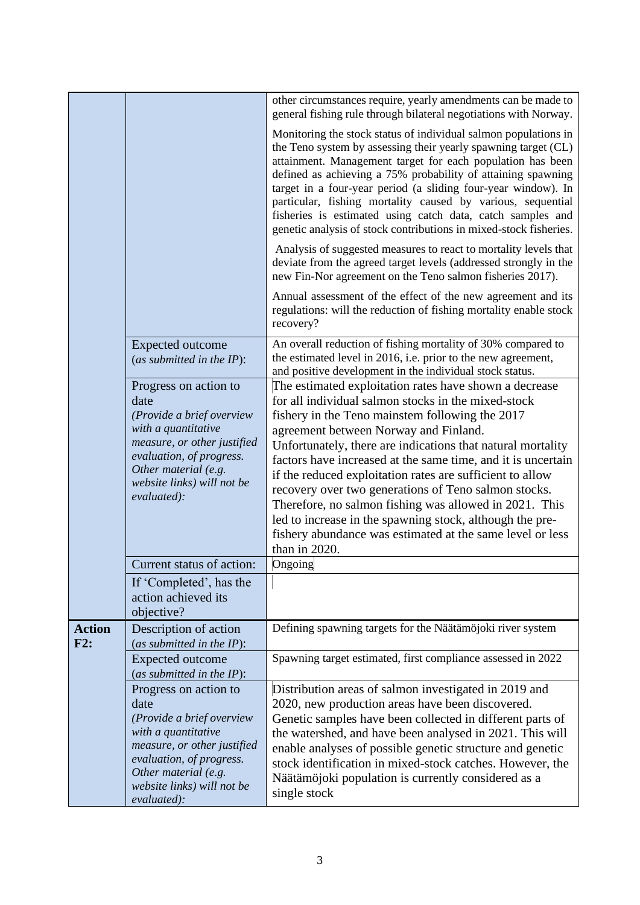| other circumstances require, yearly amendments can be made to                                                                                                                                                                                                                                                                                                                                                                                                                                                                                                                                                                                                                                                                                                                                                                                                   |
|-----------------------------------------------------------------------------------------------------------------------------------------------------------------------------------------------------------------------------------------------------------------------------------------------------------------------------------------------------------------------------------------------------------------------------------------------------------------------------------------------------------------------------------------------------------------------------------------------------------------------------------------------------------------------------------------------------------------------------------------------------------------------------------------------------------------------------------------------------------------|
| general fishing rule through bilateral negotiations with Norway.                                                                                                                                                                                                                                                                                                                                                                                                                                                                                                                                                                                                                                                                                                                                                                                                |
| Monitoring the stock status of individual salmon populations in<br>the Teno system by assessing their yearly spawning target (CL)<br>attainment. Management target for each population has been<br>defined as achieving a 75% probability of attaining spawning<br>target in a four-year period (a sliding four-year window). In<br>particular, fishing mortality caused by various, sequential<br>fisheries is estimated using catch data, catch samples and<br>genetic analysis of stock contributions in mixed-stock fisheries.                                                                                                                                                                                                                                                                                                                              |
| Analysis of suggested measures to react to mortality levels that<br>deviate from the agreed target levels (addressed strongly in the<br>new Fin-Nor agreement on the Teno salmon fisheries 2017).                                                                                                                                                                                                                                                                                                                                                                                                                                                                                                                                                                                                                                                               |
| Annual assessment of the effect of the new agreement and its<br>regulations: will the reduction of fishing mortality enable stock<br>recovery?                                                                                                                                                                                                                                                                                                                                                                                                                                                                                                                                                                                                                                                                                                                  |
| An overall reduction of fishing mortality of 30% compared to<br><b>Expected outcome</b><br>the estimated level in 2016, i.e. prior to the new agreement,<br>(as submitted in the $IP$ ):<br>and positive development in the individual stock status.                                                                                                                                                                                                                                                                                                                                                                                                                                                                                                                                                                                                            |
| The estimated exploitation rates have shown a decrease<br>Progress on action to<br>for all individual salmon stocks in the mixed-stock<br>fishery in the Teno mainstem following the 2017<br>(Provide a brief overview<br>with a quantitative<br>agreement between Norway and Finland.<br>measure, or other justified<br>Unfortunately, there are indications that natural mortality<br>evaluation, of progress.<br>factors have increased at the same time, and it is uncertain<br>Other material (e.g.<br>if the reduced exploitation rates are sufficient to allow<br>website links) will not be<br>recovery over two generations of Teno salmon stocks.<br>Therefore, no salmon fishing was allowed in 2021. This<br>led to increase in the spawning stock, although the pre-<br>fishery abundance was estimated at the same level or less<br>than in 2020. |
| Ongoing<br>Current status of action:                                                                                                                                                                                                                                                                                                                                                                                                                                                                                                                                                                                                                                                                                                                                                                                                                            |
| If 'Completed', has the<br>action achieved its                                                                                                                                                                                                                                                                                                                                                                                                                                                                                                                                                                                                                                                                                                                                                                                                                  |
| Defining spawning targets for the Näätämöjoki river system<br>Description of action<br>(as submitted in the $IP$ ):                                                                                                                                                                                                                                                                                                                                                                                                                                                                                                                                                                                                                                                                                                                                             |
| Spawning target estimated, first compliance assessed in 2022<br><b>Expected outcome</b><br>(as submitted in the IP):                                                                                                                                                                                                                                                                                                                                                                                                                                                                                                                                                                                                                                                                                                                                            |
| Progress on action to<br>Distribution areas of salmon investigated in 2019 and<br>2020, new production areas have been discovered.<br>Genetic samples have been collected in different parts of<br>(Provide a brief overview<br>with a quantitative<br>the watershed, and have been analysed in 2021. This will<br>measure, or other justified<br>enable analyses of possible genetic structure and genetic<br>evaluation, of progress.<br>stock identification in mixed-stock catches. However, the<br>Other material (e.g.<br>Näätämöjoki population is currently considered as a<br>website links) will not be<br>single stock                                                                                                                                                                                                                               |
|                                                                                                                                                                                                                                                                                                                                                                                                                                                                                                                                                                                                                                                                                                                                                                                                                                                                 |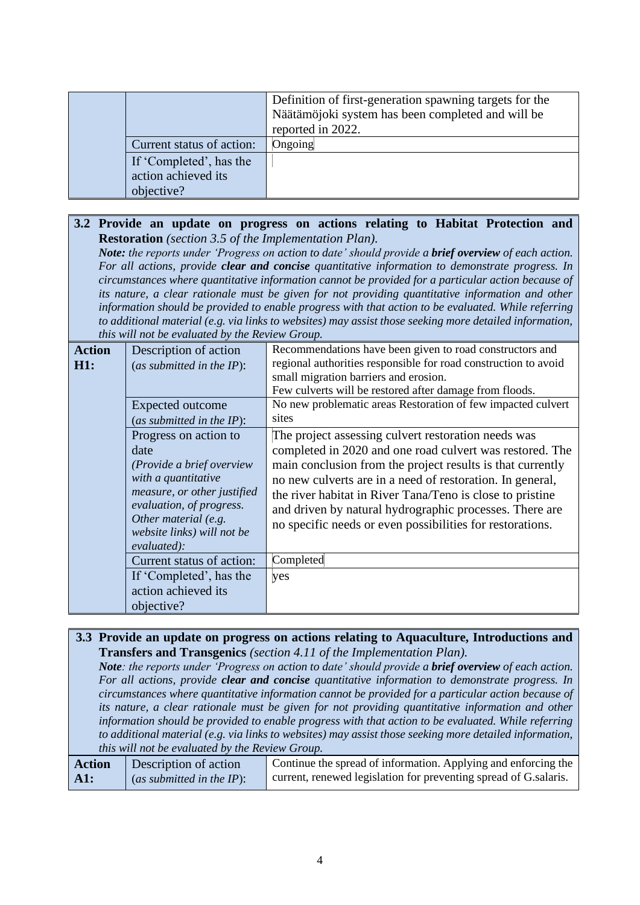|                                                              | Definition of first-generation spawning targets for the<br>Näätämöjoki system has been completed and will be<br>reported in 2022. |
|--------------------------------------------------------------|-----------------------------------------------------------------------------------------------------------------------------------|
| Current status of action:                                    | Ongoing                                                                                                                           |
| If 'Completed', has the<br>action achieved its<br>objective? |                                                                                                                                   |

#### **3.2 Provide an update on progress on actions relating to Habitat Protection and Restoration** *(section 3.5 of the Implementation Plan).*

*Note: the reports under 'Progress on action to date' should provide a brief overview of each action. For all actions, provide clear and concise quantitative information to demonstrate progress. In circumstances where quantitative information cannot be provided for a particular action because of its nature, a clear rationale must be given for not providing quantitative information and other information should be provided to enable progress with that action to be evaluated. While referring to additional material (e.g. via links to websites) may assist those seeking more detailed information, this will not be evaluated by the Review Group.*

| <b>Action</b><br>H1: | Description of action<br>(as submitted in the $IP$ ):<br>Expected outcome<br>(as submitted in the $IP$ ):                                                                                                         | Recommendations have been given to road constructors and<br>regional authorities responsible for road construction to avoid<br>small migration barriers and erosion.<br>Few culverts will be restored after damage from floods.<br>No new problematic areas Restoration of few impacted culvert<br>sites                                                                                                                        |
|----------------------|-------------------------------------------------------------------------------------------------------------------------------------------------------------------------------------------------------------------|---------------------------------------------------------------------------------------------------------------------------------------------------------------------------------------------------------------------------------------------------------------------------------------------------------------------------------------------------------------------------------------------------------------------------------|
|                      | Progress on action to<br>date<br>(Provide a brief overview<br>with a quantitative<br>measure, or other justified<br>evaluation, of progress.<br>Other material (e.g.<br>website links) will not be<br>evaluated): | The project assessing culvert restoration needs was<br>completed in 2020 and one road culvert was restored. The<br>main conclusion from the project results is that currently<br>no new culverts are in a need of restoration. In general,<br>the river habitat in River Tana/Teno is close to pristine<br>and driven by natural hydrographic processes. There are<br>no specific needs or even possibilities for restorations. |
|                      | Current status of action:                                                                                                                                                                                         | Completed                                                                                                                                                                                                                                                                                                                                                                                                                       |
|                      | If 'Completed', has the<br>action achieved its<br>objective?                                                                                                                                                      | yes                                                                                                                                                                                                                                                                                                                                                                                                                             |

#### **3.3 Provide an update on progress on actions relating to Aquaculture, Introductions and Transfers and Transgenics** *(section 4.11 of the Implementation Plan).*

*Note: the reports under 'Progress on action to date' should provide a brief overview of each action. For all actions, provide clear and concise quantitative information to demonstrate progress. In circumstances where quantitative information cannot be provided for a particular action because of its nature, a clear rationale must be given for not providing quantitative information and other information should be provided to enable progress with that action to be evaluated. While referring to additional material (e.g. via links to websites) may assist those seeking more detailed information, this will not be evaluated by the Review Group.*

| <b>Action</b>   | Description of action        | Continue the spread of information. Applying and enforcing the   |
|-----------------|------------------------------|------------------------------------------------------------------|
| $\mathbf{A}$ 1: | (as submitted in the $IP$ ): | current, renewed legislation for preventing spread of G.salaris. |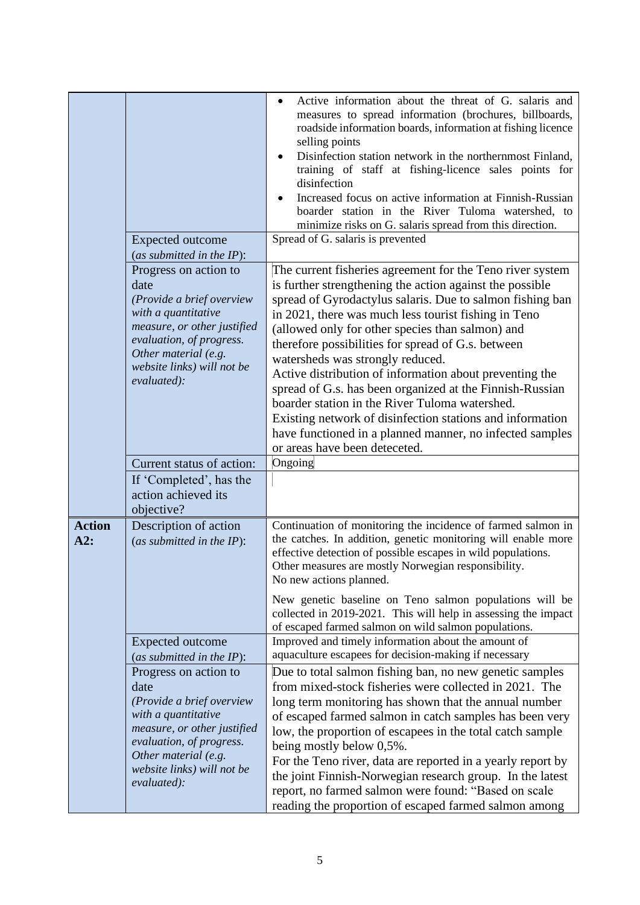|                      | <b>Expected outcome</b>                                                                                                                                                                                           | Active information about the threat of G. salaris and<br>measures to spread information (brochures, billboards,<br>roadside information boards, information at fishing licence<br>selling points<br>Disinfection station network in the northernmost Finland,<br>training of staff at fishing-licence sales points for<br>disinfection<br>Increased focus on active information at Finnish-Russian<br>boarder station in the River Tuloma watershed, to<br>minimize risks on G. salaris spread from this direction.<br>Spread of G. salaris is prevented                                                                                                                                                                    |
|----------------------|-------------------------------------------------------------------------------------------------------------------------------------------------------------------------------------------------------------------|-----------------------------------------------------------------------------------------------------------------------------------------------------------------------------------------------------------------------------------------------------------------------------------------------------------------------------------------------------------------------------------------------------------------------------------------------------------------------------------------------------------------------------------------------------------------------------------------------------------------------------------------------------------------------------------------------------------------------------|
|                      |                                                                                                                                                                                                                   |                                                                                                                                                                                                                                                                                                                                                                                                                                                                                                                                                                                                                                                                                                                             |
|                      | (as submitted in the $IP$ ):                                                                                                                                                                                      |                                                                                                                                                                                                                                                                                                                                                                                                                                                                                                                                                                                                                                                                                                                             |
|                      | Progress on action to<br>date<br>(Provide a brief overview<br>with a quantitative<br>measure, or other justified<br>evaluation, of progress.<br>Other material (e.g.<br>website links) will not be<br>evaluated): | The current fisheries agreement for the Teno river system<br>is further strengthening the action against the possible<br>spread of Gyrodactylus salaris. Due to salmon fishing ban<br>in 2021, there was much less tourist fishing in Teno<br>(allowed only for other species than salmon) and<br>therefore possibilities for spread of G.s. between<br>watersheds was strongly reduced.<br>Active distribution of information about preventing the<br>spread of G.s. has been organized at the Finnish-Russian<br>boarder station in the River Tuloma watershed.<br>Existing network of disinfection stations and information<br>have functioned in a planned manner, no infected samples<br>or areas have been deteceted. |
|                      | Current status of action:                                                                                                                                                                                         | Ongoing                                                                                                                                                                                                                                                                                                                                                                                                                                                                                                                                                                                                                                                                                                                     |
|                      | If 'Completed', has the<br>action achieved its<br>objective?                                                                                                                                                      |                                                                                                                                                                                                                                                                                                                                                                                                                                                                                                                                                                                                                                                                                                                             |
| <b>Action</b><br>A2: | Description of action<br>(as submitted in the $IP$ ):                                                                                                                                                             | Continuation of monitoring the incidence of farmed salmon in<br>the catches. In addition, genetic monitoring will enable more<br>effective detection of possible escapes in wild populations.<br>Other measures are mostly Norwegian responsibility.<br>No new actions planned.<br>New genetic baseline on Teno salmon populations will be<br>collected in 2019-2021. This will help in assessing the impact<br>of escaped farmed salmon on wild salmon populations.                                                                                                                                                                                                                                                        |
|                      | <b>Expected outcome</b><br>(as submitted in the $IP$ ):                                                                                                                                                           | Improved and timely information about the amount of<br>aquaculture escapees for decision-making if necessary                                                                                                                                                                                                                                                                                                                                                                                                                                                                                                                                                                                                                |
|                      | Progress on action to<br>date<br>(Provide a brief overview<br>with a quantitative<br>measure, or other justified<br>evaluation, of progress.<br>Other material (e.g.<br>website links) will not be<br>evaluated): | Due to total salmon fishing ban, no new genetic samples<br>from mixed-stock fisheries were collected in 2021. The<br>long term monitoring has shown that the annual number<br>of escaped farmed salmon in catch samples has been very<br>low, the proportion of escapees in the total catch sample<br>being mostly below 0,5%.<br>For the Teno river, data are reported in a yearly report by<br>the joint Finnish-Norwegian research group. In the latest<br>report, no farmed salmon were found: "Based on scale<br>reading the proportion of escaped farmed salmon among                                                                                                                                                 |